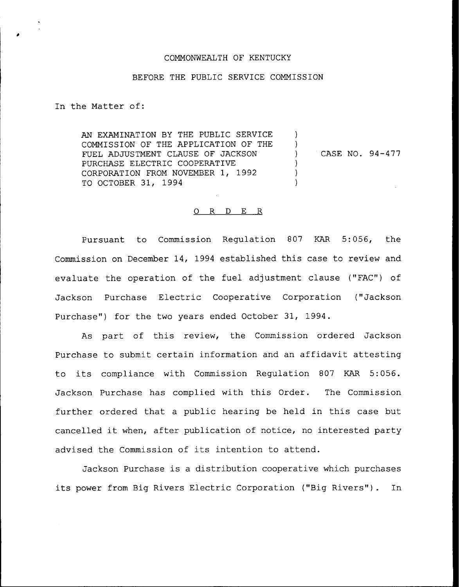### COMMONWEALTH OF KENTUCKY

#### BEFORE THE PUBLIC SERVICE COMMISSION

In the Matter of:

AN EXAMINATION BY THE PUBLIC SERVICE  $\lambda$ COMMISSION OF THE APPLICATION OF THE  $\mathcal{L}$ FUEL ADJUSTMENT CLAUSE OF JACKSON CASE NO. 94-477  $\mathcal{L}$ PURCHASE ELECTRIC COOPERATIVE  $\mathcal{F}$ CORPORATION FROM NOVEMBER 1, 1992  $\lambda$ TO OCTOBER 31, 1994

## 0 R <sup>D</sup> E R

Pursuant to Commission Regulation 807 KAR 5:056, the Commission on December 14, 1994 established this case to review and evaluate the operation of the fuel adjustment clause ("FAC") of Jackson Purchase Electric Cooperative Corporation ("Jackson Purchase") for the two years ended October 31, 1994.

As part of this review, the Commission ordered Jackson Purchase to submit certain information and an affidavit attesting to its compliance with Commission Regulation <sup>807</sup> KAR 5:056. Jackson Purchase has complied with this Order. The Commission further ordered that a public hearing be held in this case but cancelled it when, after publication of notice, no interested party advised the Commission of its intention to attend.

Jackson Purchase is a distribution cooperative which purchases its power from Big Rivers Electric Corporation ("Big Rivers"). In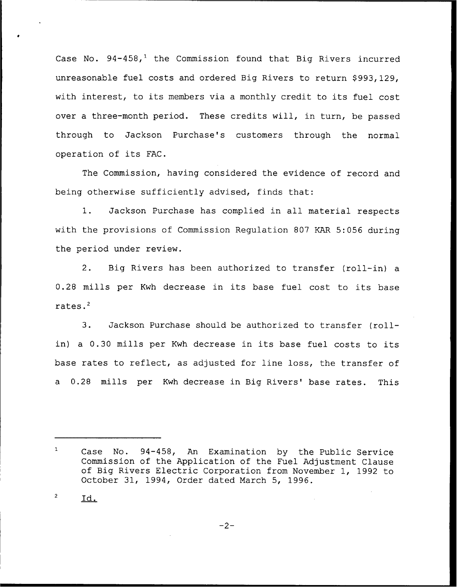Case No.  $94-458$ ,<sup>1</sup> the Commission found that Big Rivers incurred unreasonable fuel costs and ordered Big Rivers to return \$993,129, with interest, to its members via <sup>a</sup> monthly credit to its fuel cost over a three-month period. These credits will, in turn, be passed through to Jackson Purchase's customers through the normal operation of its FAC.

The Commission, having considered the evidence of record and being otherwise sufficiently advised, finds that:

1. Jackson Purchase has complied in all material respects with the provisions of Commission Regulation 807 KAR 5:056 during the period under review.

2. Big Rivers has been authorized to transfer (roll-in) a 0.28 mills per Kwh decrease in its base fuel cost to its base rates.'.

Jackson Purchase should be authorized to transfer (roll- $3.$ in) <sup>a</sup> 0.30 mills per Kwh decrease in its base fuel costs to its base rates to reflect, as adjusted for line loss, the transfer of a 0.28 mills per Kwh decrease in Big Rivers' base rates. This

 $\overline{c}$ ld.

 $-2-$ 

 $\mathbf{1}$ Case No. 94-458, An Examination by the Public Service Commission of the Application of the Fuel Adjustment Clause of Big Rivers Electric Corporation from November 1, 1992 to October 31, 1994, Order dated March 5, 1996.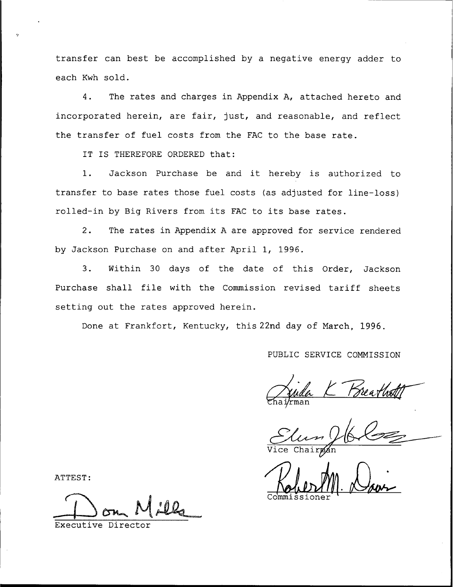transfer can best be accomplished by a negative energy adder to each Kwh sold.

4. The rates and charges in Appendix A, attached hereto and incorporated herein, are fair, just, and reasonable, and reflect the transfer of fuel costs from the FAC to the base rate.

IT IS THEREFORE ORDERED that:

1. Jackson Purchase be and it hereby is authorized to transfer to base rates those fuel costs (as adjusted for line-loss) rolled-in by Big Rivers from its FAC to its base rates.

2. The rates in Appendix <sup>A</sup> are approved for service rendered by Jackson Purchase on and after April 1, 1996.

3. Within 30 days of the date of this Order, Jackson Purchase shall file with the Commission revised tariff sheets setting out the rates approved herein.

Done at Frankfort, Kentucky, this 22nd day of March, 1996.

PUBLIC SERVICE COMMISSION

Wai/rman

Commissione

ATTEST:

Executive Director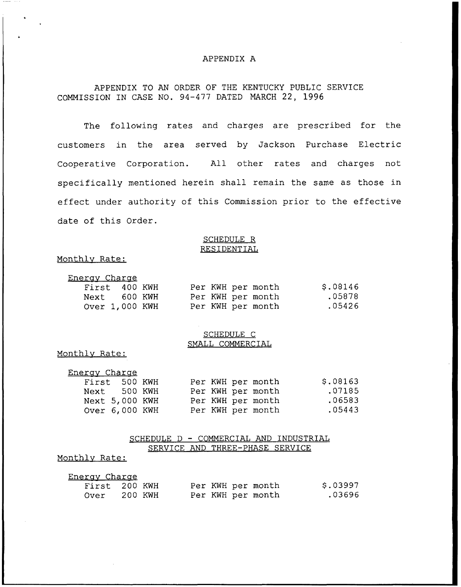#### APPENDIX A

# APPENDIX TO AN ORDER OF THE KENTUCKY PUBLIC SERVICE COMMISSION IN CASE NO. 94-477 DATED MARCH 22, 1996

The following rates and charges are prescribed for the customers in the area served by Jackson Purchase Electric Cooperative Corporation. All other rates and charges not specifically mentioned herein shall remain the same as those in effect under authority of this Commission prior to the effective date of this Order.

#### SCHEDULE R RESIDENTIAL

#### Monthlv Rate:

| Energy Charge  |  |  |  |  |  |                   |          |  |  |
|----------------|--|--|--|--|--|-------------------|----------|--|--|
| First 400 KWH  |  |  |  |  |  | Per KWH per month | \$.08146 |  |  |
| Next 600 KWH   |  |  |  |  |  | Per KWH per month | .05878   |  |  |
| Over 1,000 KWH |  |  |  |  |  | Per KWH per month | .05426   |  |  |

#### SCHEDULE C SMALL COMMERCIAL

#### Monthlv Rate:

| Energy Charge  |  |  |  |  |                   |          |  |  |  |
|----------------|--|--|--|--|-------------------|----------|--|--|--|
| First 500 KWH  |  |  |  |  | Per KWH per month | \$.08163 |  |  |  |
| Next 500 KWH   |  |  |  |  | Per KWH per month | .07185   |  |  |  |
| Next 5,000 KWH |  |  |  |  | Per KWH per month | .06583   |  |  |  |
| Over 6,000 KWH |  |  |  |  | Per KWH per month | .05443   |  |  |  |

### SCHEDULE <sup>D</sup> — COMMERCIAL AND INDUSTRIAL SERVICE AND THREE-PHASE SERVICE

## Monthlv Rate:

| <u>Energy Charge</u> |               |  |  |                   |          |
|----------------------|---------------|--|--|-------------------|----------|
|                      | First 200 KWH |  |  | Per KWH per month | \$.03997 |
| Over                 | 200 KWH       |  |  | Per KWH per month | .03696   |